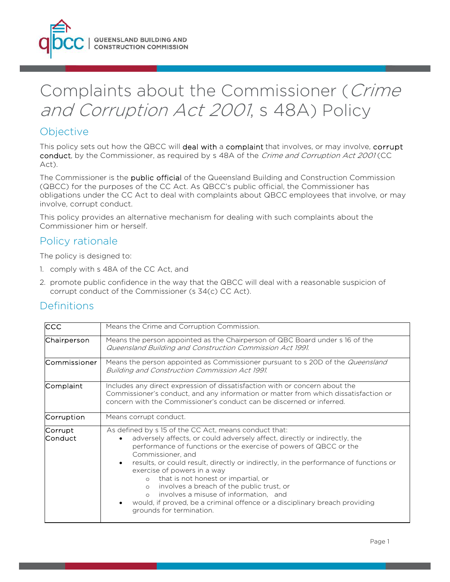

# Complaints about the Commissioner (Crime and Corruption Act 2001, s 48A) Policy

## **Objective**

This policy sets out how the QBCC will deal with a complaint that involves, or may involve, corrupt conduct, by the Commissioner, as required by s 48A of the *Crime and Corruption Act 2001* (CC Act).

The Commissioner is the public official of the Queensland Building and Construction Commission (QBCC) for the purposes of the CC Act. As QBCC's public official, the Commissioner has obligations under the CC Act to deal with complaints about QBCC employees that involve, or may involve, corrupt conduct.

This policy provides an alternative mechanism for dealing with such complaints about the Commissioner him or herself.

## Policy rationale

The policy is designed to:

- 1. comply with s 48A of the CC Act, and
- 2. promote public confidence in the way that the QBCC will deal with a reasonable suspicion of corrupt conduct of the Commissioner (s 34(c) CC Act).

## **Definitions**

| <b>CCC</b>         | Means the Crime and Corruption Commission.                                                                                                                                                                                                                                                                                                                                                                                                                                                                                                                                                                                   |  |
|--------------------|------------------------------------------------------------------------------------------------------------------------------------------------------------------------------------------------------------------------------------------------------------------------------------------------------------------------------------------------------------------------------------------------------------------------------------------------------------------------------------------------------------------------------------------------------------------------------------------------------------------------------|--|
| Chairperson        | Means the person appointed as the Chairperson of QBC Board under s 16 of the<br>Queensland Building and Construction Commission Act 1991.                                                                                                                                                                                                                                                                                                                                                                                                                                                                                    |  |
| lCommissioner      | Means the person appointed as Commissioner pursuant to s 20D of the <i>Queensland</i><br>Building and Construction Commission Act 1991.                                                                                                                                                                                                                                                                                                                                                                                                                                                                                      |  |
| Complaint          | Includes any direct expression of dissatisfaction with or concern about the<br>Commissioner's conduct, and any information or matter from which dissatisfaction or<br>concern with the Commissioner's conduct can be discerned or inferred.                                                                                                                                                                                                                                                                                                                                                                                  |  |
| Corruption         | Means corrupt conduct.                                                                                                                                                                                                                                                                                                                                                                                                                                                                                                                                                                                                       |  |
| Corrupt<br>Conduct | As defined by s 15 of the CC Act, means conduct that:<br>adversely affects, or could adversely affect, directly or indirectly, the<br>performance of functions or the exercise of powers of QBCC or the<br>Commissioner, and<br>results, or could result, directly or indirectly, in the performance of functions or<br>exercise of powers in a way<br>that is not honest or impartial, or<br>$\circ$<br>involves a breach of the public trust, or<br>$\circ$<br>involves a misuse of information, and<br>$\Omega$<br>would, if proved, be a criminal offence or a disciplinary breach providing<br>grounds for termination. |  |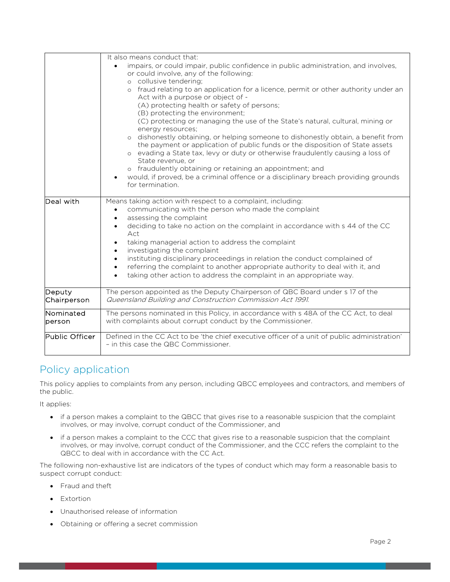|                       | It also means conduct that:<br>impairs, or could impair, public confidence in public administration, and involves,<br>or could involve, any of the following:<br>o collusive tendering;<br>o fraud relating to an application for a licence, permit or other authority under an<br>Act with a purpose or object of -<br>(A) protecting health or safety of persons;<br>(B) protecting the environment;<br>(C) protecting or managing the use of the State's natural, cultural, mining or                                                                         |  |
|-----------------------|------------------------------------------------------------------------------------------------------------------------------------------------------------------------------------------------------------------------------------------------------------------------------------------------------------------------------------------------------------------------------------------------------------------------------------------------------------------------------------------------------------------------------------------------------------------|--|
|                       | energy resources:<br>o dishonestly obtaining, or helping someone to dishonestly obtain, a benefit from<br>the payment or application of public funds or the disposition of State assets<br>o evading a State tax, levy or duty or otherwise fraudulently causing a loss of<br>State revenue, or<br>o fraudulently obtaining or retaining an appointment; and<br>would, if proved, be a criminal offence or a disciplinary breach providing grounds<br>for termination.                                                                                           |  |
| Deal with             | Means taking action with respect to a complaint, including:<br>communicating with the person who made the complaint<br>assessing the complaint<br>deciding to take no action on the complaint in accordance with s 44 of the CC<br>Act<br>taking managerial action to address the complaint<br>investigating the complaint<br>instituting disciplinary proceedings in relation the conduct complained of<br>referring the complaint to another appropriate authority to deal with it, and<br>taking other action to address the complaint in an appropriate way. |  |
| Deputy<br>Chairperson | The person appointed as the Deputy Chairperson of QBC Board under s 17 of the<br>Queensland Building and Construction Commission Act 1991.                                                                                                                                                                                                                                                                                                                                                                                                                       |  |
| Nominated<br>person   | The persons nominated in this Policy, in accordance with s 48A of the CC Act, to deal<br>with complaints about corrupt conduct by the Commissioner.                                                                                                                                                                                                                                                                                                                                                                                                              |  |
| Public Officer        | Defined in the CC Act to be 'the chief executive officer of a unit of public administration'<br>- in this case the QBC Commissioner.                                                                                                                                                                                                                                                                                                                                                                                                                             |  |

# Policy application

This policy applies to complaints from any person, including QBCC employees and contractors, and members of the public.

It applies:

- if a person makes a complaint to the QBCC that gives rise to a reasonable suspicion that the complaint involves, or may involve, corrupt conduct of the Commissioner, and
- if a person makes a complaint to the CCC that gives rise to a reasonable suspicion that the complaint involves, or may involve, corrupt conduct of the Commissioner, and the CCC refers the complaint to the QBCC to deal with in accordance with the CC Act.

The following non-exhaustive list are indicators of the types of conduct which may form a reasonable basis to suspect corrupt conduct:

- Fraud and theft
- Extortion
- Unauthorised release of information
- Obtaining or offering a secret commission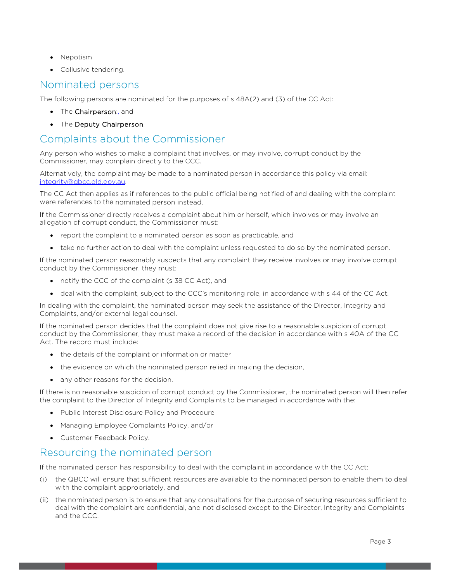- Nepotism
- Collusive tendering.

#### Nominated persons

The following persons are nominated for the purposes of s 48A(2) and (3) of the CC Act:

- The Chairperson:, and
- The Deputy Chairperson.

## Complaints about the Commissioner

Any person who wishes to make a complaint that involves, or may involve, corrupt conduct by the Commissioner, may complain directly to the CCC.

Alternatively, the complaint may be made to a nominated person in accordance this policy via email: integrity@qbcc.qld.gov.au.

The CC Act then applies as if references to the public official being notified of and dealing with the complaint were references to the nominated person instead.

If the Commissioner directly receives a complaint about him or herself, which involves or may involve an allegation of corrupt conduct, the Commissioner must:

- report the complaint to a nominated person as soon as practicable, and
- take no further action to deal with the complaint unless requested to do so by the nominated person.

If the nominated person reasonably suspects that any complaint they receive involves or may involve corrupt conduct by the Commissioner, they must:

- notify the CCC of the complaint (s 38 CC Act), and
- deal with the complaint, subject to the CCC's monitoring role, in accordance with s 44 of the CC Act.

In dealing with the complaint, the nominated person may seek the assistance of the Director, Integrity and Complaints, and/or external legal counsel.

If the nominated person decides that the complaint does not give rise to a reasonable suspicion of corrupt conduct by the Commissioner, they must make a record of the decision in accordance with s 40A of the CC Act. The record must include:

- the details of the complaint or information or matter
- the evidence on which the nominated person relied in making the decision,
- any other reasons for the decision.

If there is no reasonable suspicion of corrupt conduct by the Commissioner, the nominated person will then refer the complaint to the Director of Integrity and Complaints to be managed in accordance with the:

- Public Interest Disclosure Policy and Procedure
- Managing Employee Complaints Policy, and/or
- Customer Feedback Policy.

### Resourcing the nominated person

If the nominated person has responsibility to deal with the complaint in accordance with the CC Act:

- (i) the QBCC will ensure that sufficient resources are available to the nominated person to enable them to deal with the complaint appropriately, and
- (ii) the nominated person is to ensure that any consultations for the purpose of securing resources sufficient to deal with the complaint are confidential, and not disclosed except to the Director, Integrity and Complaints and the CCC.